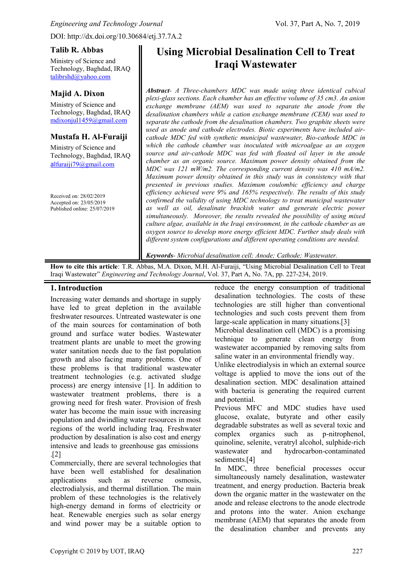DOI: http://dx.doi.org/10.30684/etj.37.7A.2

#### **Talib R. Abbas**

Ministry of Science and Technology, Baghdad, IRAQ [talibrshd@yahoo.com](mailto:talibrshd@yahoo.com)

## **Majid A. Dixon**

Ministry of Science and Technology, Baghdad, IRAQ [mdixonjul1459@gmail.com](mailto:mdixonjul1459@gmail.com)

## **Mustafa H. Al-Furaiji**

Ministry of Science and Technology, Baghdad, IRAQ a[lfuraiji79@gmail.com](mailto:alfuraiji79@gmail.com)

Received on: 28/02/2019 Accepted on: 23/05/2019 Published online: 25/07/2019

# **Using Microbial Desalination Cell to Treat Iraqi Wastewater**

*Abstract- A Three-chambers MDC was made using three identical cubical plexi-glass sections. Each chamber has an effective volume of 35 cm3. An anion exchange membrane (AEM) was used to separate the anode from the desalination chambers while a cation exchange membrane (CEM) was used to separate the cathode from the desalination chambers. Two graphite sheets were used as anode and cathode electrodes. Biotic experiments have included aircathode MDC fed with synthetic municipal wastewater, Bio-cathode MDC in which the cathode chamber was inoculated with microalgae as an oxygen source and air-cathode MDC was fed with floated oil layer in the anode chamber as an organic source. Maximum power density obtained from the MDC was 121 mW/m2. The corresponding current density was 410 mA/m2. Maximum power density obtained in this study was in consistency with that presented in previous studies. Maximum coulombic efficiency and charge efficiency achieved were 9% and 165% respectively. The results of this study confirmed the validity of using MDC technology to treat municipal wastewater as well as oil, desalinate brackish water and generate electric power simultaneously. Moreover, the results revealed the possibility of using mixed culture algae, available in the Iraqi environment, in the cathode chamber as an oxygen source to develop more energy efficient MDC. Further study deals with different system configurations and different operating conditions are needed.*

*Keywords- Microbial desalination cell; Anode; Cathode; Wastewater.*

**How to cite this article**: T.R. Abbas, M.A. Dixon, M.H. Al-Furaiji, "Using Microbial Desalination Cell to Treat Iraqi Wastewater" *Engineering and Technology Journal*, Vol. 37, Part A, No. 7A, pp. 227-234, 2019.

### **1.Introduction**

Increasing water demands and shortage in supply have led to great depletion in the available freshwater resources. Untreated wastewater is one of the main sources for contamination of both ground and surface water bodies. Wastewater treatment plants are unable to meet the growing water sanitation needs due to the fast population growth and also facing many problems. One of these problems is that traditional wastewater treatment technologies (e.g. activated sludge process) are energy intensive [1]. In addition to wastewater treatment problems, there is a growing need for fresh water. Provision of fresh water has become the main issue with increasing population and dwindling water resources in most regions of the world including Iraq. Freshwater production by desalination is also cost and energy intensive and leads to greenhouse gas emissions  $\lceil 2 \rceil$ 

Commercially, there are several technologies that have been well established for desalination applications such as reverse osmosis, electrodialysis, and thermal distillation. The main problem of these technologies is the relatively high-energy demand in forms of electricity or heat. Renewable energies such as solar energy and wind power may be a suitable option to

reduce the energy consumption of traditional desalination technologies. The costs of these technologies are still higher than conventional technologies and such costs prevent them from large-scale application in many situations.[3] Microbial desalination cell (MDC) is a promising technique to generate clean energy from wastewater accompanied by removing salts from saline water in an environmental friendly way. Unlike electrodialysis in which an external source voltage is applied to move the ions out of the

desalination section. MDC desalination attained with bacteria is generating the required current and potential.

Previous MFC and MDC studies have used glucose, oxalate, butyrate and other easily degradable substrates as well as several toxic and complex organics such as p-nitrophenol, quinoline, selenite, veratryl alcohol, sulphide-rich wastewater and hydrocarbon-contaminated sediments.<sup>[4]</sup>

In MDC, three beneficial processes occur simultaneously namely desalination, wastewater treatment, and energy production. Bacteria break down the organic matter in the wastewater on the anode and release electrons to the anode electrode and protons into the water. Anion exchange membrane (AEM) that separates the anode from the desalination chamber and prevents any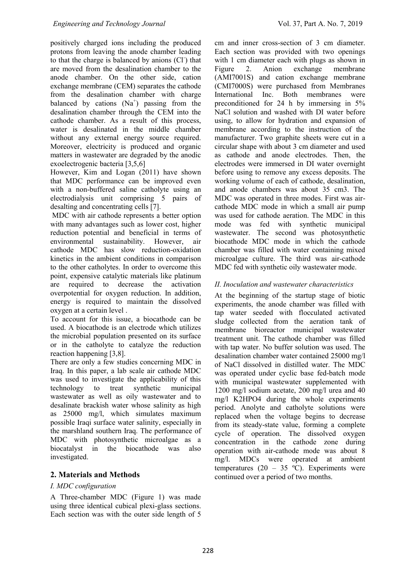positively charged ions including the produced protons from leaving the anode chamber leading to that the charge is balanced by anions (Cl<sup>-</sup>) that are moved from the desalination chamber to the anode chamber. On the other side, cation exchange membrane (CEM) separates the cathode from the desalination chamber with charge balanced by cations  $(Na^+)$  passing from the desalination chamber through the CEM into the cathode chamber. As a result of this process, water is desalinated in the middle chamber without any external energy source required. Moreover, electricity is produced and organic matters in wastewater are degraded by the anodic exoelectrogenic bacteria [3,5,6]

However, Kim and Logan (2011) have shown that MDC performance can be improved even with a non-buffered saline catholyte using an electrodialysis unit comprising 5 pairs of desalting and concentrating cells [7].

MDC with air cathode represents a better option with many advantages such as lower cost, higher reduction potential and beneficial in terms of environmental sustainability. However, air cathode MDC has slow reduction-oxidation kinetics in the ambient conditions in comparison to the other catholytes. In order to overcome this point, expensive catalytic materials like platinum are required to decrease the activation overpotential for oxygen reduction. In addition, energy is required to maintain the dissolved oxygen at a certain level .

To account for this issue, a biocathode can be used. A biocathode is an electrode which utilizes the microbial population presented on its surface or in the catholyte to catalyze the reduction reaction happening [3,8].

There are only a few studies concerning MDC in Iraq. In this paper, a lab scale air cathode MDC was used to investigate the applicability of this technology to treat synthetic municipal wastewater as well as oily wastewater and to desalinate brackish water whose salinity as high as 25000 mg/l, which simulates maximum possible Iraqi surface water salinity, especially in the marshland southern Iraq. The performance of MDC with photosynthetic microalgae as a biocatalyst in the biocathode was also investigated.

# **2. Materials and Methods**

#### *I. MDC configuration*

A Three-chamber MDC (Figure 1) was made using three identical cubical plexi-glass sections. Each section was with the outer side length of 5

cm and inner cross-section of 3 cm diameter. Each section was provided with two openings with 1 cm diameter each with plugs as shown in Figure 2. Anion exchange membrane (AMI7001S) and cation exchange membrane (CMI7000S) were purchased from Membranes International Inc. Both membranes were preconditioned for 24 h by immersing in 5% NaCl solution and washed with DI water before using, to allow for hydration and expansion of membrane according to the instruction of the manufacturer. Two graphite sheets were cut in a circular shape with about 3 cm diameter and used as cathode and anode electrodes. Then, the electrodes were immersed in DI water overnight before using to remove any excess deposits. The working volume of each of cathode, desalination, and anode chambers was about 35 cm3. The MDC was operated in three modes. First was aircathode MDC mode in which a small air pump was used for cathode aeration. The MDC in this mode was fed with synthetic municipal wastewater. The second was photosynthetic biocathode MDC mode in which the cathode chamber was filled with water containing mixed microalgae culture. The third was air-cathode MDC fed with synthetic oily wastewater mode.

## *II. Inoculation and wastewater characteristics*

At the beginning of the startup stage of biotic experiments, the anode chamber was filled with tap water seeded with flocculated activated sludge collected from the aeration tank of membrane bioreactor municipal wastewater treatment unit. The cathode chamber was filled with tap water. No buffer solution was used. The desalination chamber water contained 25000 mg/l of NaCl dissolved in distilled water. The MDC was operated under cyclic base fed-batch mode with municipal wastewater supplemented with 1200 mg/l sodium acetate, 200 mg/l urea and 40 mg/l K2HPO4 during the whole experiments period. Anolyte and catholyte solutions were replaced when the voltage begins to decrease from its steady-state value, forming a complete cycle of operation. The dissolved oxygen concentration in the cathode zone during operation with air-cathode mode was about 8 mg/l. MDCs were operated at ambient temperatures (20 – 35 °C). Experiments were continued over a period of two months.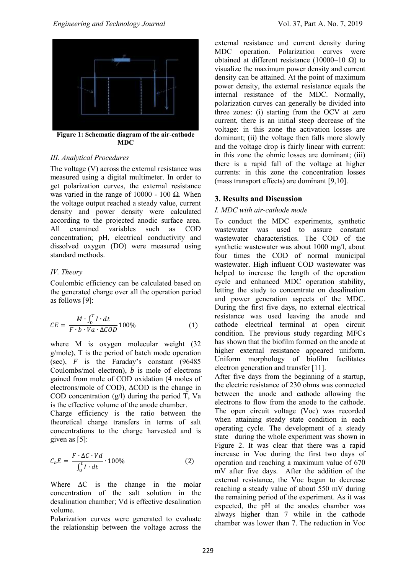

**Figure 1: Schematic diagram of the air-cathode MDC**

#### *III. Analytical Procedures*

The voltage (V) across the external resistance was measured using a digital multimeter. In order to get polarization curves, the external resistance was varied in the range of 10000 - 100  $\Omega$ . When the voltage output reached a steady value, current density and power density were calculated according to the projected anodic surface area. All examined variables such as COD concentration; pH, electrical conductivity and dissolved oxygen (DO) were measured using standard methods.

#### *IV. Theory*

Coulombic efficiency can be calculated based on the generated charge over all the operation period as follows [9]:

$$
CE = \frac{M \cdot \int_0^T I \cdot dt}{F \cdot b \cdot Va \cdot \Delta COD} 100\%
$$
 (1)

where M is oxygen molecular weight (32 g/mole), T is the period of batch mode operation (sec),  $\vec{F}$  is the Faraday's constant (96485) Coulombs/mol electron),  $b$  is mole of electrons gained from mole of COD oxidation (4 moles of electrons/mole of COD), ΔCOD is the change in COD concentration (g/l) during the period T, Va is the effective volume of the anode chamber.

Charge efficiency is the ratio between the theoretical charge transfers in terms of salt concentrations to the charge harvested and is given as [5]:

$$
C_h E = \frac{F \cdot \Delta C \cdot Vd}{\int_0^t I \cdot dt} \cdot 100\%
$$
 (2)

Where  $\Delta C$  is the change in the molar concentration of the salt solution in the desalination chamber; Vd is effective desalination volume.

Polarization curves were generated to evaluate the relationship between the voltage across the external resistance and current density during MDC operation. Polarization curves were obtained at different resistance (10000–10 Ω) to visualize the maximum power density and current density can be attained. At the point of maximum power density, the external resistance equals the internal resistance of the MDC. Normally, polarization curves can generally be divided into three zones: (i) starting from the OCV at zero current, there is an initial steep decrease of the voltage: in this zone the activation losses are dominant; (ii) the voltage then falls more slowly and the voltage drop is fairly linear with current: in this zone the ohmic losses are dominant; (iii) there is a rapid fall of the voltage at higher currents: in this zone the concentration losses (mass transport effects) are dominant [9,10].

#### **3. Results and Discussion**

#### *I. MDC with air-cathode mode*

To conduct the MDC experiments, synthetic wastewater was used to assure constant wastewater characteristics. The COD of the synthetic wastewater was about 1000 mg/l, about four times the COD of normal municipal wastewater. High influent COD wastewater was helped to increase the length of the operation cycle and enhanced MDC operation stability, letting the study to concentrate on desalination and power generation aspects of the MDC. During the first five days, no external electrical resistance was used leaving the anode and cathode electrical terminal at open circuit condition. The previous study regarding MFCs has shown that the biofilm formed on the anode at higher external resistance appeared uniform. Uniform morphology of biofilm facilitates electron generation and transfer [11].

After five days from the beginning of a startup, the electric resistance of 230 ohms was connected between the anode and cathode allowing the electrons to flow from the anode to the cathode. The open circuit voltage (Voc) was recorded when attaining steady state condition in each operating cycle. The development of a steady state during the whole experiment was shown in Figure 2. It was clear that there was a rapid increase in Voc during the first two days of operation and reaching a maximum value of 670 mV after five days. After the addition of the external resistance, the Voc began to decrease reaching a steady value of about 550 mV during the remaining period of the experiment. As it was expected, the pH at the anodes chamber was always higher than 7 while in the cathode chamber was lower than 7. The reduction in Voc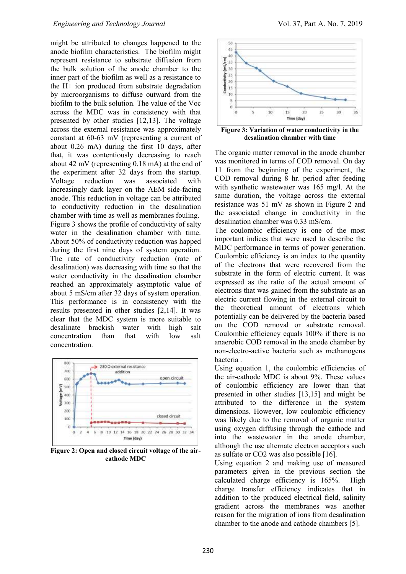might be attributed to changes happened to the anode biofilm characteristics. The biofilm might represent resistance to substrate diffusion from the bulk solution of the anode chamber to the inner part of the biofilm as well as a resistance to the H+ ion produced from substrate degradation by microorganisms to diffuse outward from the biofilm to the bulk solution. The value of the Voc across the MDC was in consistency with that presented by other studies [12,13]. The voltage across the external resistance was approximately constant at 60-63 mV (representing a current of about 0.26 mA) during the first 10 days, after that, it was contentiously decreasing to reach about 42 mV (representing 0.18 mA) at the end of the experiment after 32 days from the startup. Voltage reduction was associated with increasingly dark layer on the AEM side-facing anode. This reduction in voltage can be attributed to conductivity reduction in the desalination chamber with time as well as membranes fouling. Figure 3 shows the profile of conductivity of salty water in the desalination chamber with time. About 50% of conductivity reduction was happed during the first nine days of system operation. The rate of conductivity reduction (rate of desalination) was decreasing with time so that the water conductivity in the desalination chamber reached an approximately asymptotic value of about 5 mS/cm after 32 days of system operation. This performance is in consistency with the results presented in other studies [2,14]. It was clear that the MDC system is more suitable to desalinate brackish water with high salt<br>concentration than that with low salt concentration than that with low salt concentration.



**Figure 2: Open and closed circuit voltage of the aircathode MDC**



**Figure 3: Variation of water conductivity in the desalination chamber with time**

The organic matter removal in the anode chamber was monitored in terms of COD removal. On day 11 from the beginning of the experiment, the COD removal during 8 hr. period after feeding with synthetic wastewater was 165 mg/l. At the same duration, the voltage across the external resistance was 51 mV as shown in Figure 2 and the associated change in conductivity in the desalination chamber was 0.33 mS/cm.

The coulombic efficiency is one of the most important indices that were used to describe the MDC performance in terms of power generation. Coulombic efficiency is an index to the quantity of the electrons that were recovered from the substrate in the form of electric current. It was expressed as the ratio of the actual amount of electrons that was gained from the substrate as an electric current flowing in the external circuit to the theoretical amount of electrons which potentially can be delivered by the bacteria based on the COD removal or substrate removal. Coulombic efficiency equals 100% if there is no anaerobic COD removal in the anode chamber by non-electro-active bacteria such as methanogens bacteria .

Using equation 1, the coulombic efficiencies of the air-cathode MDC is about 9%. These values of coulombic efficiency are lower than that presented in other studies [13,15] and might be attributed to the difference in the system dimensions. However, low coulombic efficiency was likely due to the removal of organic matter using oxygen diffusing through the cathode and into the wastewater in the anode chamber, although the use alternate electron acceptors such as sulfate or CO2 was also possible [16].

Using equation 2 and making use of measured parameters given in the previous section the calculated charge efficiency is 165%. High charge transfer efficiency indicates that in addition to the produced electrical field, salinity gradient across the membranes was another reason for the migration of ions from desalination chamber to the anode and cathode chambers [5].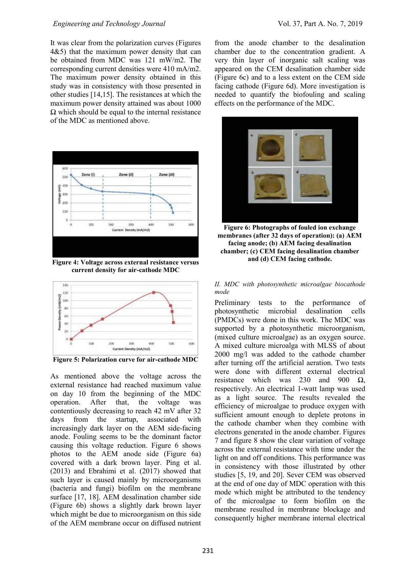It was clear from the polarization curves (Figures 4&5) that the maximum power density that can be obtained from MDC was 121 mW/m2. The corresponding current densities were 410 mA/m2. The maximum power density obtained in this study was in consistency with those presented in other studies [14,15]. The resistances at which the maximum power density attained was about 1000  $\Omega$  which should be equal to the internal resistance of the MDC as mentioned above.



**Figure 4: Voltage across external resistance versus current density for air-cathode MDC**



**Figure 5: Polarization curve for air-cathode MDC**

As mentioned above the voltage across the external resistance had reached maximum value on day 10 from the beginning of the MDC operation. After that, the voltage was contentiously decreasing to reach 42 mV after 32 days from the startup, associated with increasingly dark layer on the AEM side-facing anode. Fouling seems to be the dominant factor causing this voltage reduction. Figure 6 shows photos to the AEM anode side (Figure 6a) covered with a dark brown layer. Ping et al. (2013) and Ebrahimi et al. (2017) showed that such layer is caused mainly by microorganisms (bacteria and fungi) biofilm on the membrane surface [17, 18]. AEM desalination chamber side (Figure 6b) shows a slightly dark brown layer which might be due to microorganism on this side of the AEM membrane occur on diffused nutrient

from the anode chamber to the desalination chamber due to the concentration gradient. A very thin layer of inorganic salt scaling was appeared on the CEM desalination chamber side (Figure 6c) and to a less extent on the CEM side facing cathode (Figure 6d). More investigation is needed to quantify the biofouling and scaling effects on the performance of the MDC.



**Figure 6: Photographs of fouled ion exchange membranes (after 32 days of operation): (a) AEM facing anode; (b) AEM facing desalination chamber; (c) CEM facing desalination chamber and (d) CEM facing cathode.**

#### *II. MDC with photosynthetic microalgae biocathode mode*

Preliminary tests to the performance of photosynthetic microbial desalination cells (PMDCs) were done in this work. The MDC was supported by a photosynthetic microorganism, (mixed culture microalgae) as an oxygen source. A mixed culture microalga with MLSS of about 2000 mg/l was added to the cathode chamber after turning off the artificial aeration. Two tests were done with different external electrical resistance which was 230 and 900  $\Omega$ , respectively. An electrical 1-watt lamp was used as a light source. The results revealed the efficiency of microalgae to produce oxygen with sufficient amount enough to deplete protons in the cathode chamber when they combine with electrons generated in the anode chamber. Figures 7 and figure 8 show the clear variation of voltage across the external resistance with time under the light on and off conditions. This performance was in consistency with those illustrated by other studies [5, 19, and 20]. Sever CEM was observed at the end of one day of MDC operation with this mode which might be attributed to the tendency of the microalgae to form biofilm on the membrane resulted in membrane blockage and consequently higher membrane internal electrical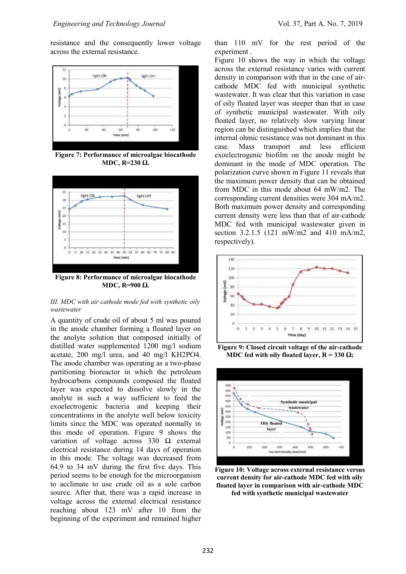resistance and the consequently lower voltage across the external resistance.



**Figure 7: Performance of microalgae biocathode MDC, R=230 Ω.**



**Figure 8: Performance of microalgae biocathode MDC, R=900 Ω.**

#### *III. MDC with air cathode mode fed with synthetic oily wastewater*

A quantity of crude oil of about 5 ml was poured in the anode chamber forming a floated layer on the anolyte solution that composed initially of distilled water supplemented 1200 mg/l sodium acetate, 200 mg/l urea, and 40 mg/l KH2PO4. The anode chamber was operating as a two-phase partitioning bioreactor in which the petroleum hydrocarbons compounds composed the floated layer was expected to dissolve slowly in the anolyte in such a way sufficient to feed the exoelectrogenic bacteria and keeping their concentrations in the anolyte well below toxicity limits since the MDC was operated normally in this mode of operation. Figure 9 shows the variation of voltage across  $330 \Omega$  external electrical resistance during 14 days of operation in this mode. The voltage was decreased from 64.9 to 34 mV during the first five days. This period seems to be enough for the microorganism to acclimate to use crude oil as a sole carbon source. After that, there was a rapid increase in voltage across the external electrical resistance reaching about 123 mV after 10 from the beginning of the experiment and remained higher

than 110 mV for the rest period of the experiment .

Figure 10 shows the way in which the voltage across the external resistance varies with current density in comparison with that in the case of aircathode MDC fed with municipal synthetic wastewater. It was clear that this variation in case of oily floated layer was steeper than that in case of synthetic municipal wastewater. With oily floated layer, no relatively slow varying linear region can be distinguished which implies that the internal ohmic resistance was not dominant in this case. Mass transport and less efficient exoelectrogenic biofilm on the anode might be dominant in the mode of MDC operation. The polarization curve shown in Figure 11 reveals that the maximum power density that can be obtained from MDC in this mode about 64 mW/m2. The corresponding current densities were 304 mA/m2. Both maximum power density and corresponding current density were less than that of air-cathode MDC fed with municipal wastewater given in section 3.2.1.5 (121 mW/m2 and 410 mA/m2, respectively).



**Figure 9: Closed circuit voltage of the air-cathode MDC fed with oily floated layer,**  $R = 330 \Omega$ **;** 



**Figure 10: Voltage across external resistance versus current density for air-cathode MDC fed with oily floated layer in comparison with air-cathode MDC** 

**fed with synthetic municipal wastewater**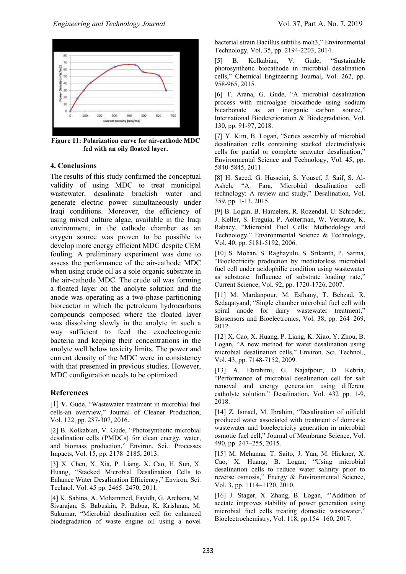

**Figure 11: Polarization curve for air-cathode MDC fed with an oily floated layer.**

#### **4. Conclusions**

The results of this study confirmed the conceptual validity of using MDC to treat municipal wastewater, desalinate brackish water and generate electric power simultaneously under Iraqi conditions. Moreover, the efficiency of using mixed culture algae, available in the Iraqi environment, in the cathode chamber as an oxygen source was proven to be possible to develop more energy efficient MDC despite CEM fouling. A preliminary experiment was done to assess the performance of the air-cathode MDC when using crude oil as a sole organic substrate in the air-cathode MDC. The crude oil was forming a floated layer on the anolyte solution and the anode was operating as a two-phase partitioning bioreactor in which the petroleum hydrocarbons compounds composed where the floated layer was dissolving slowly in the anolyte in such a way sufficient to feed the exoelectrogenic bacteria and keeping their concentrations in the anolyte well below toxicity limits. The power and current density of the MDC were in consistency with that presented in previous studies. However, MDC configuration needs to be optimized.

#### **References**

[1] V. Gude, "Wastewater treatment in microbial fuel cells-an overview," Journal of Cleaner Production, Vol. 122, pp. 287-307, 2016.

[2] B. Kolkabian, V. Gude, "Photosynthetic microbial desalination cells (PMDCs) for clean energy, water, and biomass production," Environ. Sci.: Processes Impacts, Vol. 15, pp. 2178–2185, 2013.

[3] X. Chen, X. Xia, P. Liang, X. Cao, H. Sun, X. Huang, "Stacked Microbial Desalination Cells to Enhance Water Desalination Efficiency," Environ. Sci. Technol. Vol. 45 pp. 2465–2470, 2011.

[4] K. Sabina, A. Mohammed, Fayidh, G. Archana, M. Sivarajan, S. Babuskin, P. Babua, K. Krishnan, M. Sukumar, "Microbial desalination cell for enhanced biodegradation of waste engine oil using a novel bacterial strain Bacillus subtilis moh3," Environmental Technology, Vol. 35, pp. 2194-2203, 2014.

[5] B. Kolkabian, V. Gude, "Sustainable photosynthetic biocathode in microbial desalination cells," Chemical Engineering Journal, Vol. 262, pp. 958-965, 2015.

[6] T. Arana, G. Gude, "A microbial desalination process with microalgae biocathode using sodium bicarbonate as an inorganic carbon source," International Biodeterioration & Biodegradation, Vol. 130, pp. 91-97, 2018.

[7] Y. Kim, B. Logan, "Series assembly of microbial desalination cells containing stacked electrodialysis cells for partial or complete seawater desalination," Environmental Science and Technology, Vol. 45, pp. 5840-5845, 2011.

[8] H. Saeed, G. Husseini, S. Yousef, J. Saif, S. Al-Asheh, "A. Fara, Microbial desalination cell technology: A review and study," Desalination, Vol. 359, pp. 1-13, 2015.

[9] B. Logan, B. Hamelers, R. Rozendal, U. Schroder, J. Keller, S. Freguia, P. Aelterman, W. Verstrate, K. Rabaey, "Microbial Fuel Cells: Methodology and Technology," Environmental Science & Technology, Vol. 40, pp. 5181-5192, 2006.

[10] S. Mohan, S. Raghayulu, S. Srikanth, P. Sarma, "Bioelectricity production by mediatorless microbial fuel cell under acidophilic condition using wastewater as substrate: Influence of substrate loading rate," Current Science, Vol. 92, pp. 1720-1726, 2007.

[11] M. Mardanpour, M. Esfhany, T. Behzad, R. Sedaqatyand, "Single chamber microbial fuel cell with spiral anode for dairy wastewater treatment," Biosensors and Bioelectronics, Vol. 38, pp. 264–269, 2012.

[12] X. Cao, X. Huang, P. Liang, K. Xiao, Y. Zhou, B. Logan, "A new method for water desalination using microbial desalination cells," Environ. Sci. Technol., Vol. 43, pp. 7148-7152, 2009.

[13] A. Ebrahimi, G. Najafpour, D. Kebria, "Performance of microbial desalination cell for salt removal and energy generation using different catholyte solution," Desalination, Vol. 432 pp. 1-9, 2018.

[14] Z. Ismael, M. Ibrahim, "Desalination of oilfield produced water associated with treatment of domestic wastewater and bioelectricity generation in microbial osmotic fuel cell," Journal of Membrane Science, Vol. 490, pp. 247–255, 2015.

[15] M. Mehanna, T. Saito, J. Yan, M. Hickner, X. Cao, X. Huang, B. Logan, "Using microbial desalination cells to reduce water salinity prior to reverse osmosis," Energy & Environmental Science, Vol. 3, pp. 1114–1120, 2010.

[16] J. Stager, X. Zhang, B. Logan, "Addition of acetate improves stability of power generation using microbial fuel cells treating domestic wastewater," Bioelectrochemistry, Vol. 118, pp.154–160, 2017.